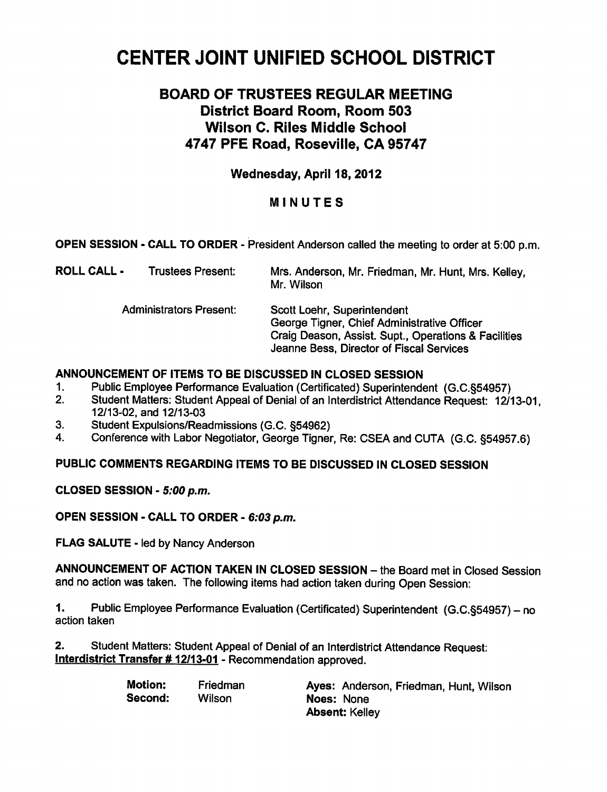# CENTER JOINT UNIFIED SCHOOL DISTRICT

# BOARD OF TRUSTEES REGULAR MEETING District Board Room, Room 503 Wilson C. Riles Middle School 4747 PFE Road, Roseville, CA 95747

# Wednesday, April 18, 2012

# MINUTES

OPEN SESSION - CALL TO ORDER - President Anderson called the meeting to order at 5:00 p.m.

| <b>ROLL CALL -</b>             | Trustees Present: | Mrs. Anderson, Mr. Friedman, Mr. Hunt, Mrs. Kelley,<br>Mr. Wilson                                                                                                              |
|--------------------------------|-------------------|--------------------------------------------------------------------------------------------------------------------------------------------------------------------------------|
| <b>Administrators Present:</b> |                   | Scott Loehr, Superintendent<br>George Tigner, Chief Administrative Officer<br>Craig Deason, Assist. Supt., Operations & Facilities<br>Jeanne Bess, Director of Fiscal Services |

# ANNOUNCEMENT OF ITEMS TO BE DISCUSSED IN CLOSED SESSION

- 1. Public Employee Performance Evaluation (Certificated) Superintendent (G.C.§54957)
- 2. Student Matters: Student Appeal of Denial of an Interdistrict Attendance Request: 12/13-01, 12/13-02, and 12/13-03
- 3. Student Expulsions/Readmissions (G.C. §54962)
- 4. Conference with Labor Negotiator, George Tigner, Re: CSEA and CUTA (G.C. §54957.6)

#### PUBLIC COMMENTS REGARDING ITEMS TO BE DISCUSSED IN CLOSED SESSION

CLOSED SESSION - 5:00 p.m.

OPEN SESSION - CALL TO ORDER - 6:03 p.m.

FLAG SALUTE - led by Nancy Anderson

ANNOUNCEMENT OF ACTION TAKEN IN CLOSED SESSION - the Board met in Closed Session and no action was taken. The following items had action taken during Open Session:

1. Public Employee Performance Evaluation (Certificated) Superintendent (G.C.§54957) - no action taken

2. Student Matters: Student Appeal of Denial of an Interdistrict Attendance Request: Interdistrict Transfer # 12/13-01 - Recommendation approved.

| <b>Motion:</b> | Friedman | Ayes: Anderson, Friedman, Hunt, Wilson |
|----------------|----------|----------------------------------------|
| Second:        | Wilson   | Noes: None                             |
|                |          | <b>Absent: Kelley</b>                  |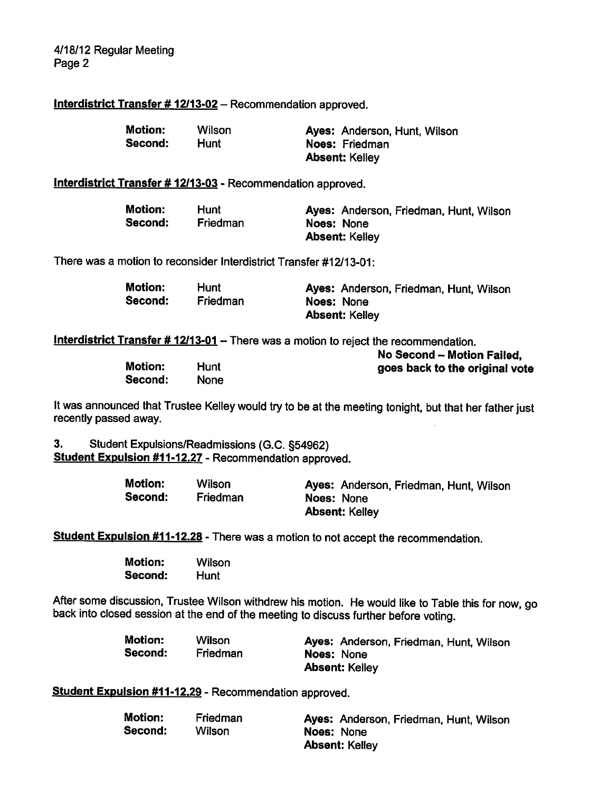### Interdistrict Transfer # 12/13-02 - Recommendation approved.

| <b>Motion:</b> | Wilson | Ayes: Anderson, Hunt, Wilson |
|----------------|--------|------------------------------|
| Second:        | Hunt   | Noes: Friedman               |
|                |        | <b>Absent: Kelley</b>        |

#### Interdistrict Transfer # 12/13-03 - Recommendation approved.

| Motion: | Hunt            | Ayes: Anderson, Friedman, Hunt, Wilson |
|---------|-----------------|----------------------------------------|
| Second: | <b>Friedman</b> | Noes: None                             |
|         |                 | <b>Absent: Kelley</b>                  |

There was a motion to reconsider Interdistrict Transfer #12/13-01:

| <b>Motion:</b> | Hunt     | Ayes: Anderson, Friedman, Hunt, Wilson |
|----------------|----------|----------------------------------------|
| Second:        | Friedman | Noes: None                             |
|                |          | <b>Absent: Kelley</b>                  |

Interdistrict Transfer  $\# 12/13-01 -$  There was a motion to reject the recommendation.

|                |             | No Second - Motion Failed,     |
|----------------|-------------|--------------------------------|
| <b>Motion:</b> | Hunt        | goes back to the original vote |
| Second:        | <b>None</b> |                                |

It was announced that Trustee Kelley would try to be at the meeting tonight, but that her father just recently passed away.

3. Student Expulsions/Readmissions (G.C. §54962) Student Expulsion #11-12.27 - Recommendation approved.

| <b>Motion:</b> | Wilson          | Ayes: Anderson, Friedman, Hunt, Wilson |
|----------------|-----------------|----------------------------------------|
| Second:        | <b>Friedman</b> | Noes: None                             |
|                |                 | <b>Absent: Kelley</b>                  |

Student Expulsion #11-12.28 - There was a motion to not accept the recommendation.

| <b>Motion:</b> | Wilson |
|----------------|--------|
| Second:        | Hunt   |

After some discussion, Trustee Wilson withdrew his motion. He would like to Table this for now, go back into closed session at the end of the meeting to discuss further before voting.

| Motion: | Wilson   | Ayes: Anderson, Friedman, Hunt, Wilson |
|---------|----------|----------------------------------------|
| Second: | Friedman | <b>Noes: None</b>                      |
|         |          | <b>Absent: Kelley</b>                  |

Student Expulsion #11-12.29 - Recommendation approved.

| <b>Motion:</b> | Friedman | Ayes: Anderson, Friedman, Hunt, Wilson |
|----------------|----------|----------------------------------------|
| Second:        | Wilson   | Noes: None                             |
|                |          | <b>Absent: Kelley</b>                  |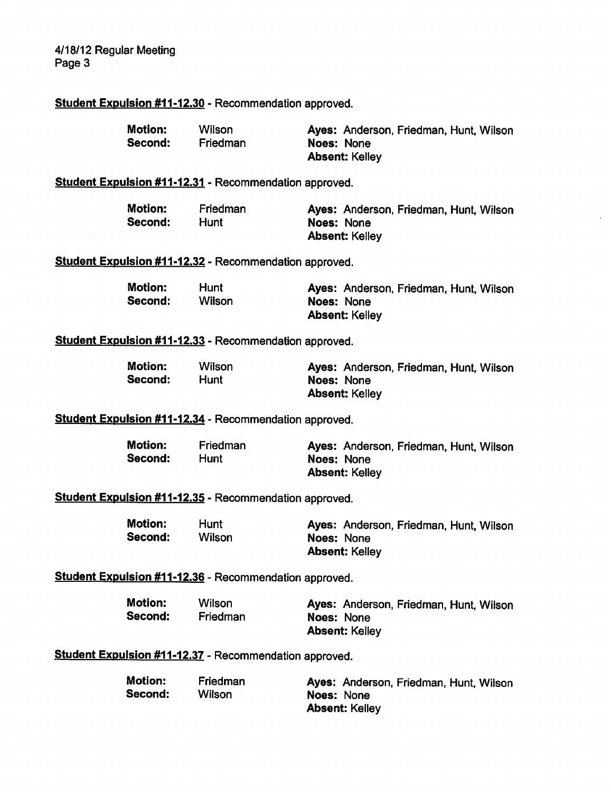4/18/12 Regular Meeting Page 3

#### Student Expulsion #11-12.30 - Recommendation approved.

| <b>Motion:</b> | <b>Wilson</b>   | Ayes: Anderson, Friedman, Hunt, Wilson |
|----------------|-----------------|----------------------------------------|
| Second:        | <b>Friedman</b> | Noes: None                             |
|                |                 | <b>Absent: Kelley</b>                  |

# Student Expulsion #11-12.31 - Recommendation approved.

| <b>Motion:</b> | Friedman | Ayes: Anderson, Friedman, Hunt, Wilson |
|----------------|----------|----------------------------------------|
| Second:        | Hunt     | Noes: None                             |
|                |          | <b>Absent: Kelley</b>                  |

Student Expulsion #11-12.32 - Recommendation approved.

| <b>Motion:</b> | Hunt   | Ayes: Anderson, Friedman, Hunt, Wilson |
|----------------|--------|----------------------------------------|
| Second:        | Wilson | <b>Noes: None</b>                      |
|                |        | <b>Absent: Kelley</b>                  |

# Student Expulsion #11-12.33 - Recommendation approved.

| Motion: | Wilson | Ayes: Anderson, Friedman, Hunt, Wilson |
|---------|--------|----------------------------------------|
| Second: | Hunt   | Noes: None                             |
|         |        | <b>Absent: Kelley</b>                  |

Student Expulsion #11-12.34 - Recommendation approved.

| Motion: | Friedman | Ayes: Anderson, Friedman, Hunt, Wilson |
|---------|----------|----------------------------------------|
| Second: | Hunt     | Noes: None                             |
|         |          | <b>Absent: Kelley</b>                  |

Student Expulsion #11-12.35 - Recommendation approved.

| <b>Motion:</b> | <b>Hunt</b> | Ayes: Anderson, Friedman, Hunt, Wilson |
|----------------|-------------|----------------------------------------|
| Second:        | Wilson      | Noes: None                             |
|                |             | <b>Absent: Kelley</b>                  |

Student Expulsion #11-12.36 - Recommendation approved.

Motion: Wilson Ayes: Anderson, Friedman, Hunt, Wilson Second: Friedman Noes: None Absent: Kelley

Student Expulsion #11-12.37 - Recommendation approved.

| Motion: | Friedman | Ayes: Anderson, Friedman, Hunt, Wilson |
|---------|----------|----------------------------------------|
| Second: | Wilson   | Noes: None                             |
|         |          | <b>Absent: Kelley</b>                  |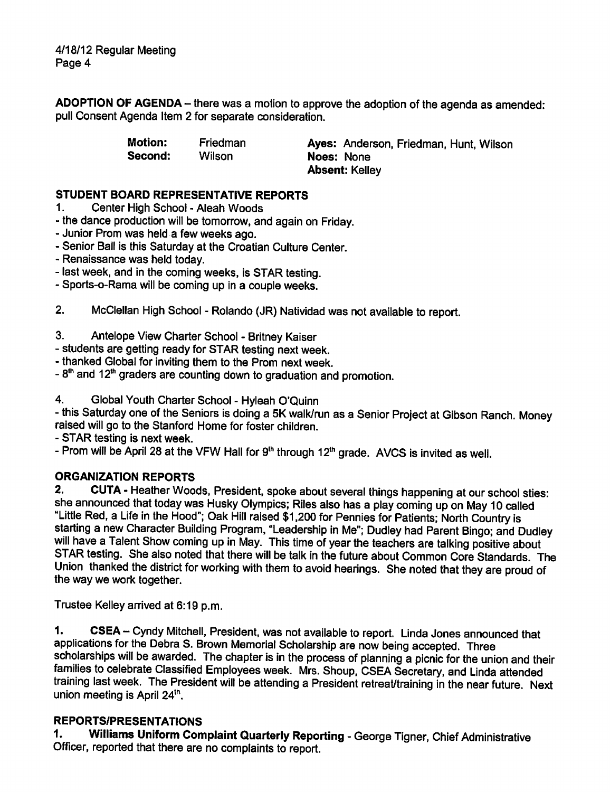ADOPTION OF AGENDA- there was a motion to approve the adoption of the agenda as amended: pull Consent Agenda Item 2 for separate consideration.

Second: Wilson Noes: None

Motion: Friedman Ayes: Anderson, Friedman, Hunt, Wilson Absent: Kelley

### STUDENT BOARD REPRESENTATIVE REPORTS

- 1. Center High School Aleah Woods
- the dance production will be tomorrow, and again on Friday.
- Junior Prom was held a few weeks ago.
- Senior Ball is this Saturday at the Croatian Culture Center.
- Renaissance was held today.
- last week, and in the coming weeks, is STAR testing.
- Sports-o-Rama will be coming up in a couple weeks.
- 2. McClellan High School Rolando (JR) Natividad was not available to report.

# 3. Antelope View Charter School - Britney Kaiser

- students are getting ready for STAR testing next week.
- thanked Global for inviting them to the Prom next week.
- $-8<sup>th</sup>$  and 12<sup>th</sup> graders are counting down to graduation and promotion.
- 4. Global Youth Charter School Hyleah O'Quinn

this Saturday one of the Seniors is doing a 5K walk/run as a Senior Project at Gibson Ranch. Money raised will go to the Stanford Home for foster children.

STAR testing is next week.

- Prom will be April 28 at the VFW Hall for 9<sup>th</sup> through 12<sup>th</sup> grade. AVCS is invited as well.

# ORGANIZATION REPORTS

2. CUTA - Heather Woods, President, spoke about several things happening at our school sties: she announced that today was Husky Olympics; Riles also has a play coming up on May 10 called "Little Red, a Life in the Hood"; Oak Hill raised \$1,200 for Pennies for Patients; North Country is starting a new Character Building Program, "Leadership in Me"; Dudley had Parent Bingo; and Dudley will have a Talent Show coming up in May. This time of year the teachers are talking positive about STAR testing. She also noted that there will be talk in the future about Common Core Standards. The Union thanked the district for working with them to avoid hearings. She noted that they are proud of the way we work together.

Trustee Kelley arrived at 6:19 p.m.

1. CSEA - Cyndy Mitchell, President, was not available to report. Linda Jones announced that applications for the Debra S. Brown Memorial Scholarship are now being accepted. Three scholarships will be awarded. The chapter is in the process of planning a picnic for the union and their families to celebrate Classified Employees week. Mrs. Shoup, CSEA Secretary, and Linda attended training last week. The President will be attending a President retreat/training in the near future. Next union meeting is April  $24<sup>th</sup>$ .

# REPORTS/PRESENTATIONS

1. Williams Uniform Complaint Quarterly Reporting - George Tigner, Chief Administrative Officer, reported that there are no complaints to report.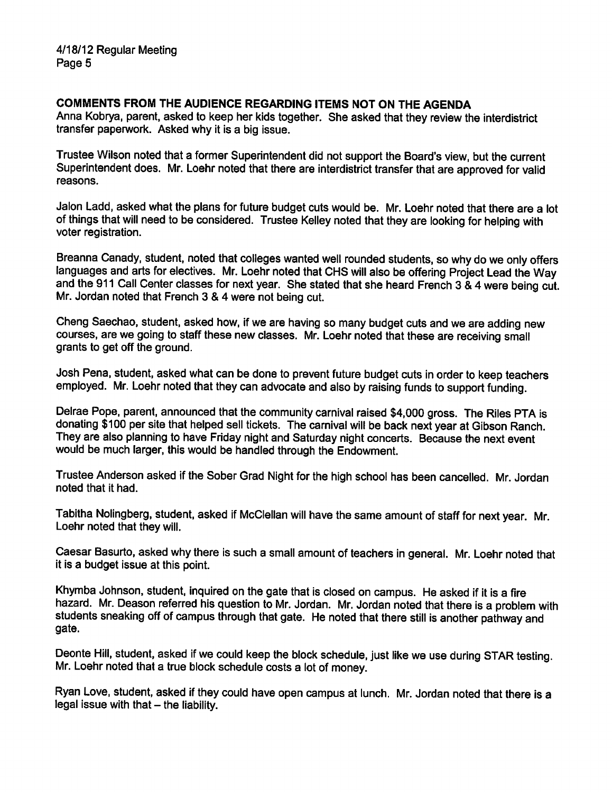#### COMMENTS FROM THE AUDIENCE REGARDING ITEMS NOT ON THE AGENDA

Anna Kobrya, parent, asked to keep her kids together. She asked that they review the interdistrict transfer paperwork. Asked why it is a big issue.

Trustee Wilson noted that a former Superintendent did not support the Board's view, but the current Superintendent does. Mr. Loehr noted that there are interdistrict transfer that are approved for valid reasons.

Jalon Ladd, asked what the plans for future budget cuts would be. Mr. Loehr noted that there are a lot of things that will need to be considered. Trustee Kelley noted that they are looking for helping with voter registration.

Breanna Canady, student, noted that colleges wanted well rounded students, so why do we only offers languages and arts for electives. Mr. Loehr noted that CHS will also be offering Project Lead the Way and the 911 Call Center classes for next year. She stated that she heard French 3 & 4 were being cut. Mr. Jordan noted that French 3 & 4 were not being cut.

Cheng Saechao, student, asked how, if we are having so many budget cuts and we are adding new courses, are we going to staff these new classes. Mr. Loehr noted that these are receiving small grants to get off the ground.

Josh Pena, student, asked what can be done to prevent future budget cuts in order to keep teachers employed. Mr. Loehr noted that they can advocate and also by raising funds to support funding.

Delrae Pope, parent, announced that the community carnival raised \$4,000 gross. The Riles PTA is donating \$100 per site that helped sell tickets. The carnival will be back next year at Gibson Ranch. They are also planning to have Friday night and Saturday night concerts. Because the next event would be much larger, this would be handled through the Endowment.

Trustee Anderson asked if the Sober Grad Night for the high school has been cancelled. Mr. Jordan noted that it had.

Tabitha Nolingberg, student, asked if McClellan will have the same amount of staff for next year. Mr. Loehr noted that they will.

Caesar Basurto, asked why there is such a small amount of teachers in general. Mr. Loehr noted that it is a budget issue at this point.

Khymba Johnson, student, inquired on the gate that is closed on campus. He asked if it is a fire hazard. Mr. Deason referred his question to Mr. Jordan. Mr. Jordan noted that there is a problem with students sneaking off of campus through that gate. He noted that there still is another pathway and gate.

Deonte Hill, student, asked if we could keep the block schedule, just like we use during STAR testing. Mr. Loehr noted that a true block schedule costs a lot of money.

Ryan Love, student, asked if they could have open campus at lunch. Mr. Jordan noted that there is a legal issue with that  $-$  the liability.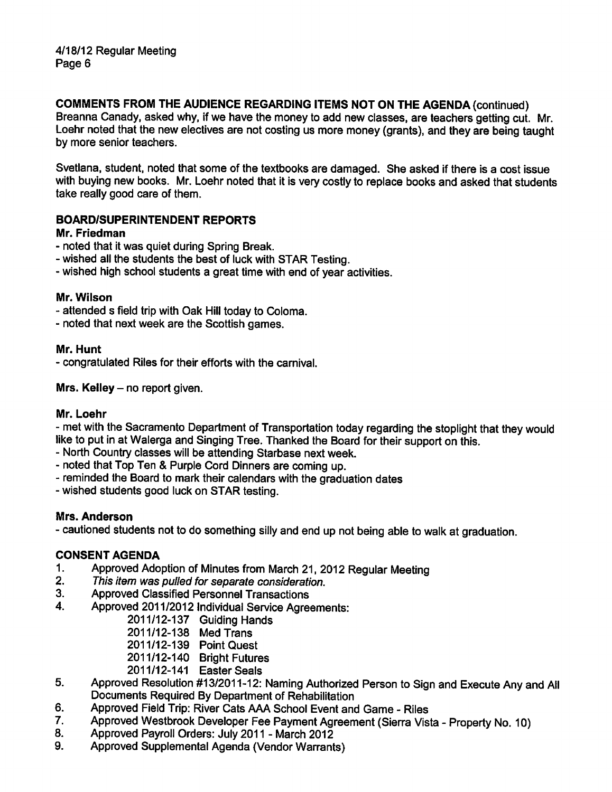# COMMENTS FROM THE AUDIENCE REGARDING ITEMS NOT ON THE AGENDA (continued)

Breanna Canady, asked why, if we have the money to add new classes, are teachers getting cut. Mr. Loehr noted that the new electives are not costing us more money (grants), and they are being taught by more senior teachers.

Svetlana, student, noted that some of the textbooks are damaged. She asked if there is a cost issue with buying new books. Mr. Loehr noted that it is very costly to replace books and asked that students take really good care of them.

### BOARD/SUPERINTENDENT REPORTS

#### Mr. Friedman

- noted that it was quiet during Spring Break.
- wished all the students the best of luck with STAR Testing.
- wished high school students a great time with end of year activities.

#### Mr. Wilson

- attended s field trip with Oak Hill today to Coloma.
- noted that next week are the Scottish games.

#### Mr. Hunt

congratulated Riles for their efforts with the carnival.

Mrs. Kelley  $-$  no report given.

#### Mr. Loehr

met with the Sacramento Department of Transportation today regarding the stoplight that they would like to put in at Walerga and Singing Tree. Thanked the Board for their support on this.

- North Country classes will be attending Starbase next week.
- noted that Top Ten & Purple Cord Dinners are coming up.
- reminded the Board to mark their calendars with the graduation dates
- wished students good luck on STAR testing.

#### Mrs. Anderson

cautioned students not to do something silly and end up not being able to walk at graduation.

#### CONSENT AGENDA

- 1. Approved Adoption of Minutes from March 21, 2012 Regular Meeting
- 2. This item was pulled for separate consideration.
- 3. Approved Classified Personnel Transactions
- 4. Approved 2011/2012 Individual Service Agreements:
	- 2011/12-137 Guiding Hands
	- 2011/12-138 Med Trans
	- 2011/12-139 Point Quest
	- 2011/12-140 Bright Futures
	- 2011/12-141 Easter Seals
- 5. Approved Resolution #13/2011-12: Naming Authorized Person to Sign and Execute Any and All Documents Required By Department of Rehabilitation
- 6. Approved Field Trip: River Cats AAA School Event and Game Riles
- 7. Approved Westbrook Developer Fee Payment Agreement (Sierra Vista Property No. 10)
- 8. Approved Payroll Orders: July 2011 March 2012
- 9. Approved Supplemental Agenda (Vendor Warrants)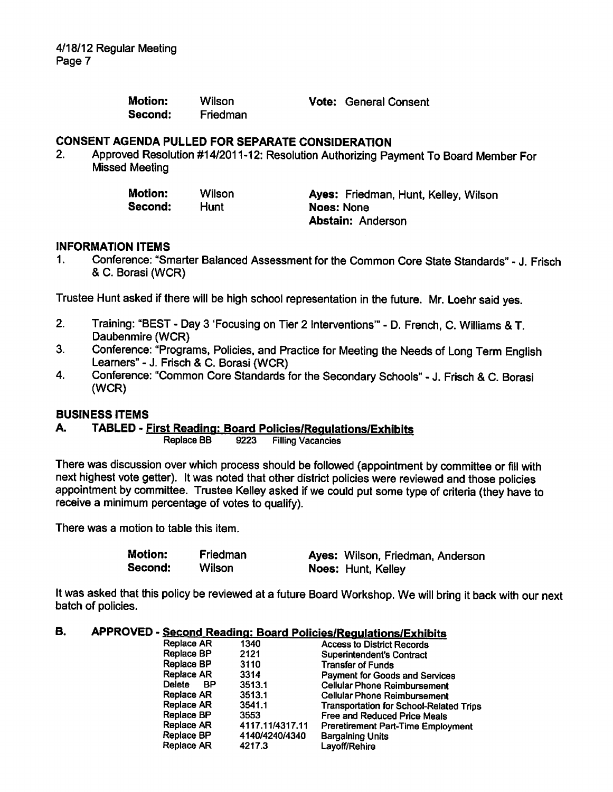4/18/12 Regular Meeting Page 7

| <b>Motion:</b> | Wilson   |
|----------------|----------|
| Second:        | Friedman |

Vote: General Consent

#### CONSENT AGENDA PULLED FOR SEPARATE CONSIDERATION

2. Approved Resolution #14/2011 -12: Resolution Authorizing Payment To Board Member For Missed Meeting

| <b>Motion:</b> | Wilson | Ayes: Friedman, Hunt, Kelley, Wilson |
|----------------|--------|--------------------------------------|
| Second:        | Hunt   | Noes: None                           |
|                |        | <b>Abstain: Anderson</b>             |

#### INFORMATION ITEMS

1. Conference: "Smarter Balanced Assessment for the Common Core State Standards" - J. Frisch & C. Borasi (WCR)

Trustee Hunt asked if there will be high school representation in the future. Mr. Loehr said yes.

- 2. Training: "BEST Day 3 'Focusing on Tier 2 Interventions" D. French, C. Williams & T. Daubenmire (WCR)
- 3. Conference: "Programs, Policies, and Practice for Meeting the Needs of Long Term English Learners" - J. Frisch & C. Borasi (WCR)
- 4. Conference: "Common Core Standards for the Secondary Schools" J. Frisch & C. Borasi (WCR)

#### BUSINESS ITEMS

#### A. TABLED - First Reading: Board Policies/Regulations/Exhibits

Replace BB 9223 Filling Vacancies

There was discussion over which process should be followed (appointment by committee or fill with next highest vote getter). It was noted that other district policies were reviewed and those policies appointment by committee. Trustee Kelley asked if we could put some type of criteria (they have to receive a minimum percentage of votes to qualify).

There was a motion to table this item.

Motion: Friedman Ayes: Wilson, Friedman, Anderson Second: Wilson Noes: Hunt, Kelley

It was asked that this policy be reviewed at a future Board Workshop. We will bring it back with our next batch of policies.

#### B. APPROVED - Second Reading: Board Policies/Regulations/Exhibits

| Replace AR          | 1340            | <b>Access to District Records</b>              |
|---------------------|-----------------|------------------------------------------------|
| <b>Replace BP</b>   | 2121            | <b>Superintendent's Contract</b>               |
| <b>Replace BP</b>   | 3110            | <b>Transfer of Funds</b>                       |
| <b>Replace AR</b>   | 3314            | <b>Payment for Goods and Services</b>          |
| Delete<br><b>BP</b> | 3513.1          | <b>Cellular Phone Reimbursement</b>            |
| Replace AR          | 3513.1          | <b>Cellular Phone Reimbursement</b>            |
| Replace AR          | 3541.1          | <b>Transportation for School-Related Trips</b> |
| Replace BP          | 3553            | Free and Reduced Price Meals                   |
| <b>Replace AR</b>   | 4117.11/4317.11 | <b>Preretirement Part-Time Employment</b>      |
| Replace BP          | 4140/4240/4340  | <b>Bargaining Units</b>                        |
| <b>Replace AR</b>   | 4217.3          | Layoff/Rehire                                  |
|                     |                 |                                                |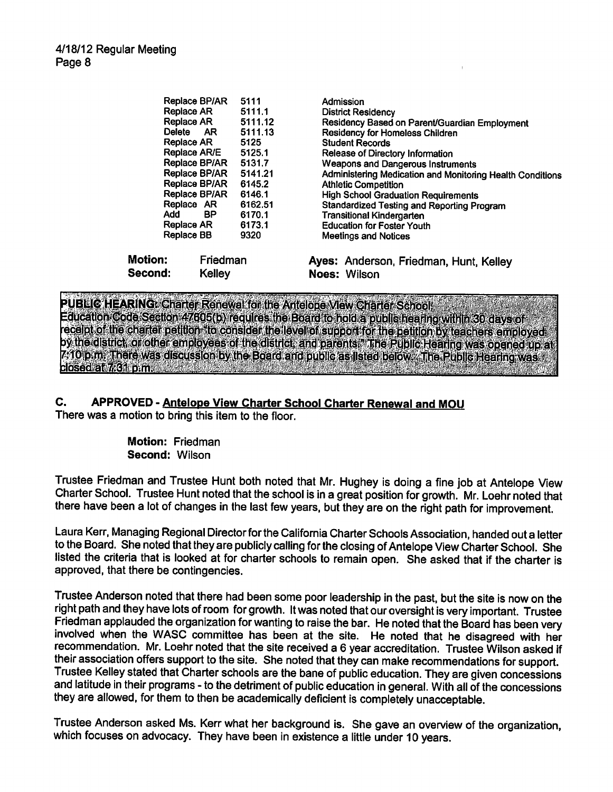| <b>Motion:</b><br>Second: |              | Friedman<br><b>Kelley</b> |         | Ayes: Anderson, Friedman, Hunt, Kelley<br><b>Noes: Wilson</b> |
|---------------------------|--------------|---------------------------|---------|---------------------------------------------------------------|
|                           | Replace BB   |                           | 9320    | <b>Meetings and Notices</b>                                   |
|                           | Replace AR   |                           | 6173.1  | <b>Education for Foster Youth</b>                             |
|                           | Add          | <b>BP</b>                 | 6170.1  | <b>Transitional Kindergarten</b>                              |
|                           | Replace AR   |                           | 6162.51 | <b>Standardized Testing and Reporting Program</b>             |
|                           |              | Replace BP/AR             | 6146.1  | <b>High School Graduation Requirements</b>                    |
|                           |              | Replace BP/AR             | 6145.2  | <b>Athletic Competition</b>                                   |
|                           |              | Replace BP/AR             | 5141.21 | Administering Medication and Monitoring Health Conditions     |
|                           |              | Replace BP/AR             | 5131.7  | <b>Weapons and Dangerous Instruments</b>                      |
|                           | Replace AR/E |                           | 5125.1  | Release of Directory Information                              |
|                           | Replace AR   |                           | 5125    | <b>Student Records</b>                                        |
|                           | Delete       | AR.                       | 5111.13 | <b>Residency for Homeless Children</b>                        |
|                           | Replace AR   |                           | 5111.12 | Residency Based on Parent/Guardian Employment                 |
|                           | Replace AR   |                           | 5111.1  | <b>District Residency</b>                                     |
|                           |              | Replace BP/AR             | 5111    | Admission                                                     |

PUBLIC HEARING: Charter Renewal for the Antelope View Charter School. Education Code Section 47605(b) requires the Board to hold a public hearing within 30 days of receipt of the charter petition, to consider the level of support for the petition by teachers employed by the district, or other employees of the district, and parents." The Public Hearing was opened up at<br>7-10 p.m. There was discussion by the Board and public as listed below. The Public Hearing was closed at 7.61 pm.

## C. APPROVED - Antelope View Charter School Charter Renewal and MOU

There was a motion to bring this item to the floor.

Motion: Friedman Second: Wilson

Trustee Friedman and Trustee Hunt both noted that Mr. Hughey is doing a fine job at Antelope View Charter School. Trustee Hunt noted that the school is in a great position for growth. Mr. Loehr noted that there have been a lot of changes in the last few years, but they are on the right path for improvement.

Laura Kerr, Managing Regional Director for the California Charter Schools Association, handed out a letter to the Board. She noted that they are publicly calling for the closing of Antelope View Charter School. She listed the criteria that is looked at for charter schools to remain open. She asked that if the charter is approved, that there be contingencies.

Trustee Anderson noted that there had been some poor leadership in the past, but the site is now on the right path and they have lots of room for growth. It was noted that our oversight is very important. Trustee Friedman applauded the organization for wanting to raise the bar. He noted that the Board has been very involved when the WASC committee has been at the site. He noted that he disagreed with her recommendation. Mr. Loehr noted that the site received a 6 year accreditation. Trustee Wilson asked if their association offers support to the site. She noted that they can make recommendations for support. Trustee Kelley stated that Charter schools are the bane of public education. They are given concessions and latitude in their programs - to the detriment of public education in general. With all of the concessions they are allowed, for them to then be academically deficient is completely unacceptable.

Trustee Anderson asked Ms. Kerr what her background is. She gave an overview of the organization, which focuses on advocacy. They have been in existence a little under 10 years.